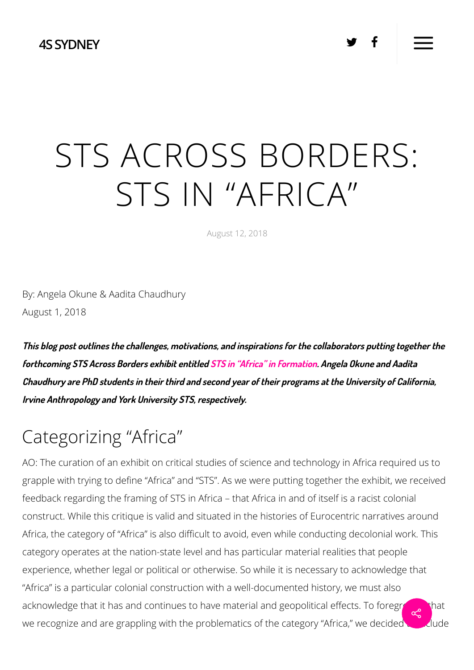#### **4SSYDNEY**

# STS ACROSS BORDERS: STS IN "AFRICA"

August 12, 2018

By: Angela Okune & Aadita Chaudhury August 1, 2018

**This blog post outlines the challenges, motivations, and inspirations for the collaborators putting together the forthcoming STS Across Borders exhibit entitled STS in "Africa" in Formation. Angela Okune and Aadita** Chaudhury are PhD students in their third and second year of their programs at the University of California, **Irvine Anthropology and York University STS, respectively.**

### Categorizing "Africa"

 experience, whether legal or political or otherwise. So while it is necessary to acknowledge that AO: The curation of an exhibit on critical studies of science and technology in Africa required us to grapple with trying to define "Africa" and "STS". As we were putting together the exhibit, we received feedback regarding the framing of STS in Africa – that Africa in and of itself is a racist colonial construct. While this critique is valid and situated in the histories of Eurocentric narratives around Africa, the category of "Africa" is also difficult to avoid, even while conducting decolonial work. This category operates at the nation-state level and has particular material realities that people "Africa" is a particular colonial construction with a well-documented history, we must also acknowledge that it has and continues to have material and geopolitical effects. To foreground that we recognize and are grappling with the problematics of the category "Africa," we decided to include  $\propto$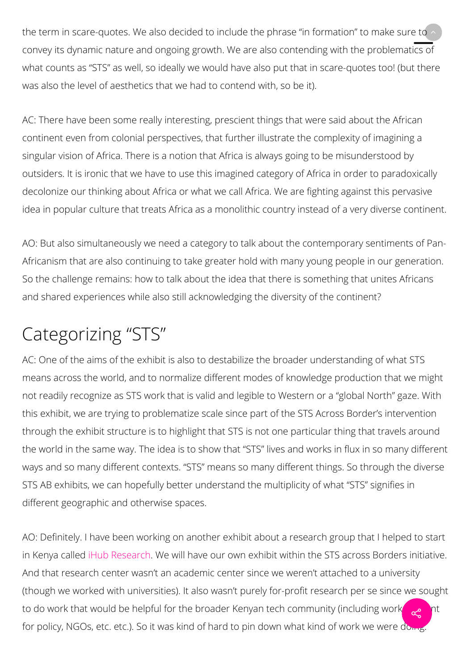the term in scare-quotes. We also decided to include the phrase "in formation" to make sure to  $\sim$ convey its dynamic nature and ongoing growth. We are also contending with the problematics of what counts as "STS" as well, so ideally we would have also put that in scare-quotes too! (but there was also the level of aesthetics that we had to contend with, so be it).

AC: There have been some really interesting, prescient things that were said about the African continent even from colonial perspectives, that further illustrate the complexity of imagining a singular vision of Africa. There is a notion that Africa is always going to be misunderstood by outsiders. It is ironic that we have to use this imagined category of Africa in order to paradoxically decolonize our thinking about Africa or what we call Africa. We are fighting against this pervasive idea in popular culture that treats Africa as a monolithic country instead of a very diverse continent.

AO: But also simultaneously we need a category to talk about the contemporary sentiments of Pan-Africanism that are also continuing to take greater hold with many young people in our generation. So the challenge remains: how to talk about the idea that there is something that unites Africans and shared experiences while also still acknowledging the diversity of the continent?

# Categorizing "STS"

AC: One of the aims of the exhibit is also to destabilize the broader understanding of what STS means across the world, and to normalize different modes of knowledge production that we might not readily recognize as STS work that is valid and legible to Western or a "global North" gaze. With this exhibit, we are trying to problematize scale since part of the STS Across Border's intervention through the exhibit structure is to highlight that STS is not one particular thing that travels around the world in the same way. The idea is to show that "STS" lives and works in flux in so many different ways and so many different contexts. "STS" means so many different things. So through the diverse STS AB exhibits, we can hopefully better understand the multiplicity of what "STS" signifies in different geographic and otherwise spaces.

AO: Definitely. I have been working on another exhibit about a research group that I helped to start in Kenya called iHub Research. We will have our own exhibit within the STS across Borders initiative. And that research center wasn't an academic center since we weren't attached to a university (though we worked with universities). It also wasn't purely for-profit research per se since we sought to do work that would be helpful for the broader Kenyan tech community (including work relation of for policy, NGOs, etc. etc.). So it was kind of hard to pin down what kind of work we were doing.  $\alpha^{\circ}$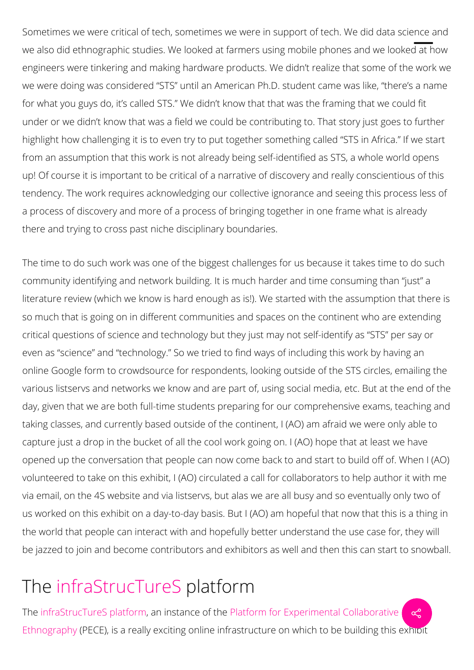Sometimes we were critical of tech, sometimes we were in support of tech. We did data science and ÷we also did ethnographic studies. We looked at farmers using mobile phones and we looked at how engineers were tinkering and making hardware products. We didn't realize that some of the work we we were doing was considered "STS" until an American Ph.D. student came was like, "there's a name for what you guys do, it's called STS." We didn't know that that was the framing that we could fit under or we didn't know that was a field we could be contributing to. That story just goes to further highlight how challenging it is to even try to put together something called "STS in Africa." If we start from an assumption that this work is not already being self-identified as STS, a whole world opens up! Of course it is important to be critical of a narrative of discovery and really conscientious of this tendency. The work requires acknowledging our collective ignorance and seeing this process less of a process of discovery and more of a process of bringing together in one frame what is already there and trying to cross past niche disciplinary boundaries.

The time to do such work was one of the biggest challenges for us because it takes time to do such community identifying and network building. It is much harder and time consuming than "just" a literature review (which we know is hard enough as is!). We started with the assumption that there is so much that is going on in different communities and spaces on the continent who are extending critical questions of science and technology but they just may not self-identify as "STS" per say or even as "science" and "technology." So we tried to find ways of including this work by having an online Google form to crowdsource for respondents, looking outside of the STS circles, emailing the various listservs and networks we know and are part of, using social media, etc. But at the end of the day, given that we are both full-time students preparing for our comprehensive exams, teaching and taking classes, and currently based outside of the continent, I (AO) am afraid we were only able to capture just a drop in the bucket of all the cool work going on. I (AO) hope that at least we have opened up the conversation that people can now come back to and start to build off of. When I (AO) volunteered to take on this exhibit, I (AO) circulated a call for collaborators to help author it with me via email, on the 4S website and via listservs, but alas we are all busy and so eventually only two of us worked on this exhibit on a day-to-day basis. But I (AO) am hopeful that now that this is a thing in the world that people can interact with and hopefully better understand the use case for, they will be jazzed to join and become contributors and exhibitors as well and then this can start to snowball.

## The infraStrucTureS platform

The infraStrucTureS platform, an instance of the Platform for Experimental Collaborative Ethnography (PECE), is a really exciting online infrastructure on which to be building this exhibit  $\infty$